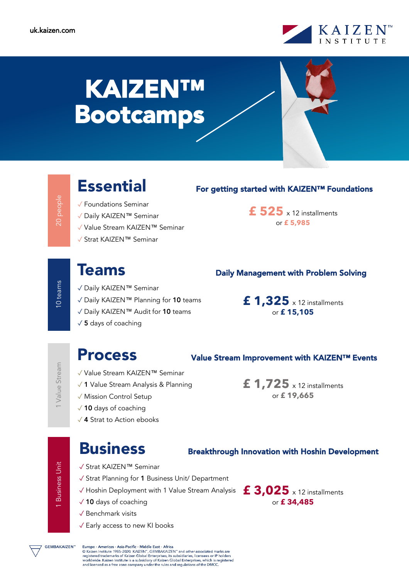

# KAIZEN™ Bootcamps

10 teams

1 Value Stream

1 Business Unit

**Business Unit** 

- ✓ Foundations Seminar
- ✓ Daily KAIZEN™ Seminar
- ✓ Value Stream KAIZEN™ Seminar
- ✓ Strat KAIZEN™ Seminar

## **Essential** For getting started with KAIZEN™ Foundations

**£ 525** x 12 installments or **£ 5,985**

- ✓ Daily KAIZEN™ Seminar
- ✓ Daily KAIZEN™ Planning for 10 teams
- ✓ Daily KAIZEN™ Audit for 10 teams
- $\sqrt{5}$  days of coaching

## Teams **Daily Management with Problem Solving**

**£ 1,325** x 12 installments or **£ 15,105**

**£ 1,725** x 12 installments or **£ 19,665**

## Process Value Stream Improvement with KAIZEN™ Events

#### ✓ Value Stream KAIZEN™ Seminar

- ✓ 1 Value Stream Analysis & Planning
- ✓ Mission Control Setup
- ✓ 10 days of coaching
- ✓ 4 Strat to Action ebooks

## Business Breakthrough Innovation with Hoshin Development

- ✓ Strat KAIZEN™ Seminar
- ✓ Strat Planning for 1 Business Unit/ Department
- $\checkmark$  Hoshin Deployment with 1 Value Stream Analysis  $\;$   $\bf{f}$   $\bf{3,025}$  x 12 installments
- ✓ 10 days of coaching
- ✓ Benchmark visits
- ✓ Early access to new KI books

or **£ 34,485**

**GEMBAKAIZEN<sup>\*</sup>** 

Europe - Americas - Asia-Pacific - Middle East - Africa EUTOPE - Americas - Asia-Facinc - Windows Cast - Arrica<br>
© Kaizen Institute 1985-2020. KAIZEN", GEMBAKAIZEN" and other associated marks are<br>
registered trademarks of Kaizen Global Enterprises, its subsidiaries, licensees o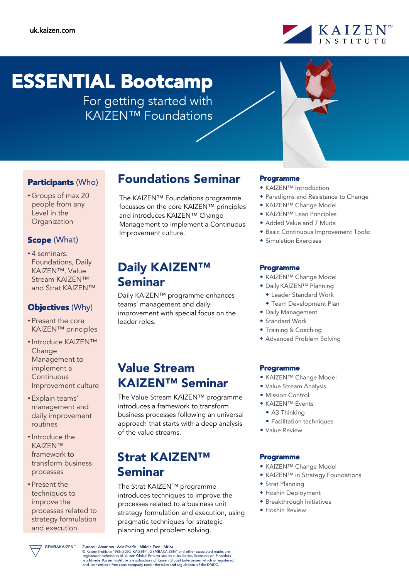

# ESSENTIAL Bootcamp

For getting started with KAIZEN™ Foundations



### Participants (Who)

• Groups of max 20 people from any Level in the **Organization** 

#### Scope (What)

• 4 seminars: Foundations, Daily KAIZEN™, Value Stream KAIZEN™ and Strat KAIZEN™

#### **Objectives (Why)**

- Present the core KAIZEN™ principles
- Introduce KAIZEN™ **Change** Management to implement a **Continuous** Improvement culture
- Explain teams' management and daily improvement routines
- Introduce the KAIZEN™ framework to transform business processes
- Present the techniques to improve the processes related to strategy formulation and execution

## Foundations Seminar

The KAIZEN™ Foundations programme focusses on the core KAIZEN™ principles and introduces KAIZEN™ Change Management to implement a Continuous Improvement culture.

## Daily **KAIZEN™** Seminar

Daily KAIZEN™ programme enhances teams' management and daily improvement with special focus on the leader roles.

## Value Stream KAIZEN™ Seminar

The Value Stream KAIZEN™ programme introduces a framework to transform business processes following an universal approach that starts with a deep analysis of the value streams.

## Strat KAIZEN™ Seminar

The Strat KAIZEN™ programme introduces techniques to improve the processes related to a business unit strategy formulation and execution, using pragmatic techniques for strategic planning and problem solving.

#### Programme

- KAIZEN™ Introduction
- Paradigms and Resistance to Change
- KAIZEN™ Change Model
- KAIZEN™ Lean Principles
- Added Value and 7 Muda
- Basic Continuous Improvement Tools:
- Simulation Exercises

#### Programme

- KAIZEN™ Change Model
- Daily KAIZEN™ Planning
	- Leader Standard Work
	- Team Development Plan
- Daily Management
- Standard Work
- Training & Coaching
- Advanced Problem Solving

#### Programme

- KAIZEN™ Change Model
- Value Stream Analysis
- Mission Control
- KAIZEN™ Events
	- A3 Thinking
	- Facilitation techniques
- Value Review

#### Programme

- KAIZEN™ Change Model
- KAIZEN™ in Strategy Foundations
- Strat Planning
- Hoshin Deployment
- Breakthrough Initiatives
- Hoshin Review

**GEMBAKAIZEN<sup>\*\*</sup>**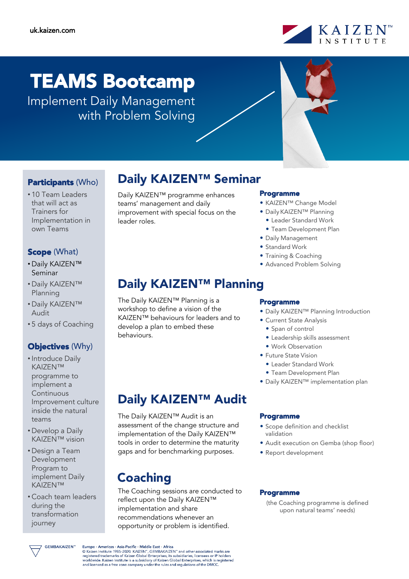

# TEAMS Bootcamp

Implement Daily Management with Problem Solving



### Participants (Who)

• 10 Team Leaders that will act as Trainers for Implementation in own Teams

### Scope (What)

- Daily KAIZEN™ Seminar
- Daily KAIZEN™ Planning
- Daily KAIZEN™ Audit
- 5 days of Coaching

### **Objectives (Why)**

- Introduce Daily KAIZEN™ programme to implement a **Continuous** Improvement culture inside the natural teams
- Develop a Daily KAIZEN™ vision
- Design a Team Development Program to implement Daily KAIZEN™
- Coach team leaders during the transformation journey

## Daily KAIZEN™ Seminar

Daily KAIZEN™ programme enhances teams' management and daily improvement with special focus on the leader roles.

## Daily KAIZEN<sup>™</sup> Planning

The Daily KAIZEN™ Planning is a workshop to define a vision of the KAIZEN™ behaviours for leaders and to develop a plan to embed these behaviours.

## Daily KAIZEN™ Audit

The Daily KAIZEN™ Audit is an assessment of the change structure and implementation of the Daily KAIZEN™ tools in order to determine the maturity gaps and for benchmarking purposes.

## Coaching

The Coaching sessions are conducted to reflect upon the Daily KAIZEN™ implementation and share recommendations whenever an opportunity or problem is identified.

#### Programme

- KAIZEN™ Change Model
- Daily KAIZEN™ Planning
	- Leader Standard Work
	- Team Development Plan
- Daily Management
- Standard Work
- Training & Coaching
- Advanced Problem Solving

#### Programme

- Daily KAIZEN™ Planning Introduction
- Current State Analysis
	- Span of control
	- Leadership skills assessment
	- Work Observation
- Future State Vision
	- Leader Standard Work
	- Team Development Plan
- Daily KAIZEN™ implementation plan

#### Programme

- Scope definition and checklist validation
- Audit execution on Gemba (shop floor)
- Report development

#### Programme

(the Coaching programme is defined upon natural teams' needs)

GEMBAKAIZEN"

Europe - Americas - Asia-Pacific - Middle East - Africa EUTOPE - Americas - Asia-Factinc - Muddle East - Affrica<br>
© Kaizen Institute 1985-2020. KAIZEN", GEMBAKAIZEN" and other associated marks are<br>
registered trademarks of Kaizen Global Enterprises, its subsidiaries, licensees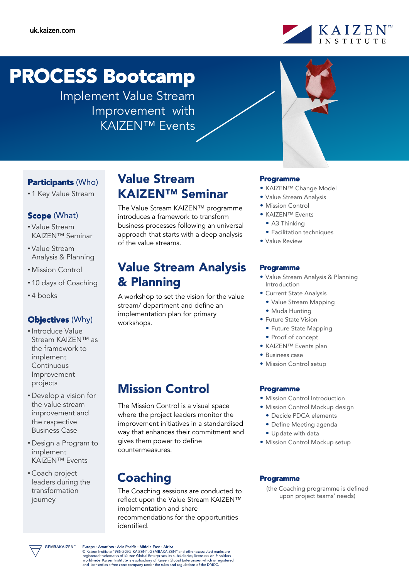

# PROCESS Bootcamp

Implement Value Stream Improvement with KAIZEN™ Events



### Participants (Who)

• 1 Key Value Stream

#### Scope (What)

- Value Stream KAIZEN™ Seminar
- Value Stream Analysis & Planning
- Mission Control
- 10 days of Coaching
- 4 books

#### Objectives (Why)

- Introduce Value Stream KAIZEN™ as the framework to implement Continuous Improvement projects
- Develop a vision for the value stream improvement and the respective Business Case
- Design a Program to implement KAIZEN™ Events
- Coach project leaders during the transformation journey

## Value Stream KAIZEN™ Seminar

The Value Stream KAIZEN™ programme introduces a framework to transform business processes following an universal approach that starts with a deep analysis of the value streams.

## Value Stream Analysis & Planning

A workshop to set the vision for the value stream/ department and define an implementation plan for primary workshops.

## Mission Control

The Mission Control is a visual space where the project leaders monitor the improvement initiatives in a standardised way that enhances their commitment and gives them power to define countermeasures.

## Coaching

The Coaching sessions are conducted to reflect upon the Value Stream KAIZEN™ implementation and share recommendations for the opportunities identified.

#### Programme

- KAIZEN™ Change Model
- Value Stream Analysis
- Mission Control
- KAIZEN™ Events
- A3 Thinking
- Facilitation techniques
- Value Review

#### Programme

- Value Stream Analysis & Planning Introduction
- Current State Analysis
	- Value Stream Mapping
	- Muda Hunting
- Future State Vision
	- Future State Mapping
	- Proof of concept
- KAIZEN™ Events plan
- Business case
- Mission Control setup

#### Programme

- Mission Control Introduction
- Mission Control Mockup design
	- Decide PDCA elements
	- Define Meeting agenda
- Update with data
- Mission Control Mockup setup

#### Programme

(the Coaching programme is defined upon project teams' needs)



Europe - Americas - Asia-Pacific - Middle East - Africa EUTOPE - Americas - Asia-Factinc - Muddle East - Affrica<br>
© Kaizen Institute 1985-2020. KAIZEN", GEMBAKAIZEN" and other associated marks are<br>
registered trademarks of Kaizen Global Enterprises, its subsidiaries, licensees